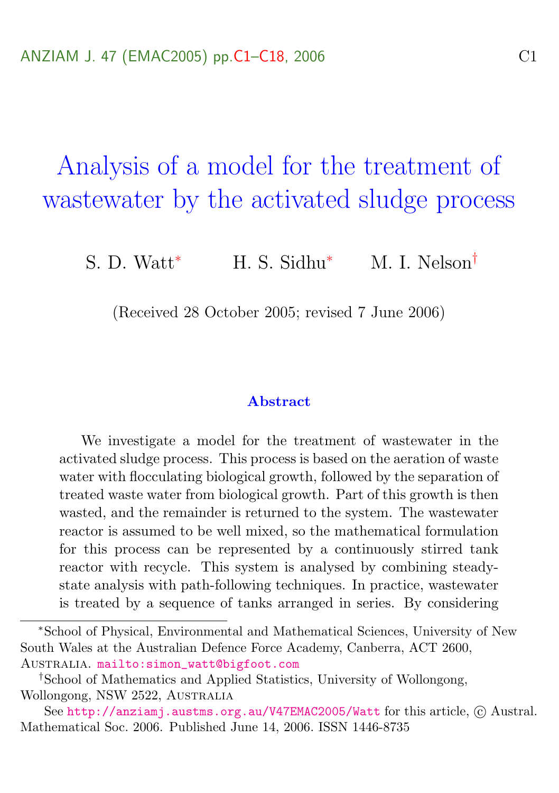<span id="page-0-0"></span>Analysis of a model for the treatment of wastewater by the activated sludge process

S. D. Watt<sup>∗</sup> H. S. Sidhu<sup>∗</sup> M. I. Nelson<sup>†</sup>

(Received 28 October 2005; revised 7 June 2006)

#### Abstract

We investigate a model for the treatment of wastewater in the activated sludge process. This process is based on the aeration of waste water with flocculating biological growth, followed by the separation of treated waste water from biological growth. Part of this growth is then wasted, and the remainder is returned to the system. The wastewater reactor is assumed to be well mixed, so the mathematical formulation for this process can be represented by a continuously stirred tank reactor with recycle. This system is analysed by combining steadystate analysis with path-following techniques. In practice, wastewater is treated by a sequence of tanks arranged in series. By considering

<sup>∗</sup>School of Physical, Environmental and Mathematical Sciences, University of New South Wales at the Australian Defence Force Academy, Canberra, ACT 2600, Australia. [mailto:simon\\_watt@bigfoot.com](mailto:simon_watt@bigfoot.com)

<sup>†</sup>School of Mathematics and Applied Statistics, University of Wollongong, Wollongong, NSW 2522, Australia

See <http://anziamj.austms.org.au/V47EMAC2005/Watt> for this article,  $\odot$  Austral. Mathematical Soc. 2006. Published June 14, 2006. ISSN 1446-8735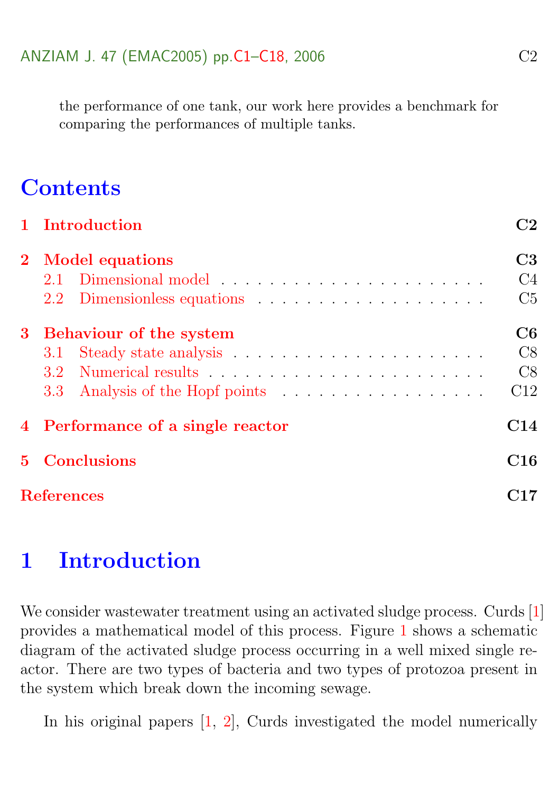<span id="page-1-1"></span>the performance of one tank, our work here provides a benchmark for comparing the performances of multiple tanks.

# **Contents**

| 1 Introduction                    | C2             |  |  |  |  |  |  |
|-----------------------------------|----------------|--|--|--|--|--|--|
| 2 Model equations                 |                |  |  |  |  |  |  |
| 2.1 Dimensional model             | C4             |  |  |  |  |  |  |
| 2.2 Dimensionless equations       | C <sub>5</sub> |  |  |  |  |  |  |
| 3 Behaviour of the system         |                |  |  |  |  |  |  |
|                                   | C8             |  |  |  |  |  |  |
|                                   | C8             |  |  |  |  |  |  |
|                                   | C12            |  |  |  |  |  |  |
| 4 Performance of a single reactor |                |  |  |  |  |  |  |
| <b>5</b> Conclusions              |                |  |  |  |  |  |  |
| <b>References</b>                 |                |  |  |  |  |  |  |

# <span id="page-1-0"></span>1 Introduction

We consider wastewater treatment using an activated sludge process. Curds [\[1\]](#page-16-1) provides a mathematical model of this process. Figure [1](#page-1-0) shows a schematic diagram of the activated sludge process occurring in a well mixed single reactor. There are two types of bacteria and two types of protozoa present in the system which break down the incoming sewage.

In his original papers [\[1,](#page-16-1) [2\]](#page-16-2), Curds investigated the model numerically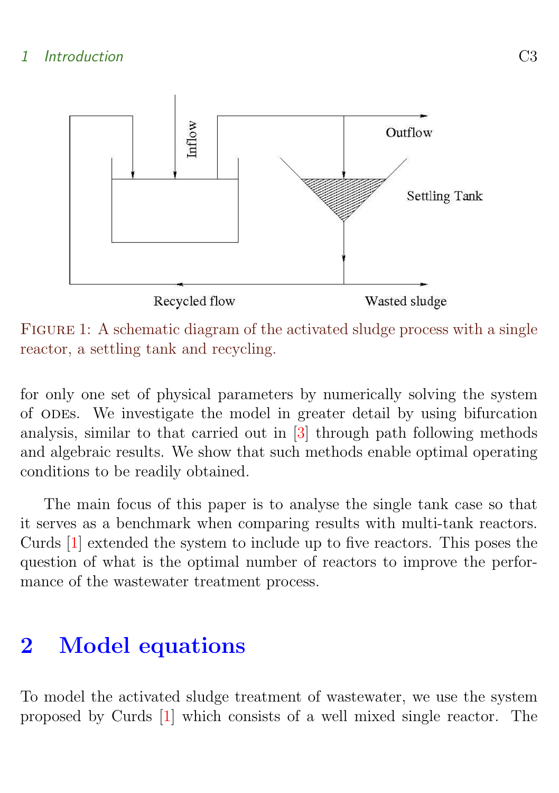### <span id="page-2-1"></span>1 Introduction C3



FIGURE 1: A schematic diagram of the activated sludge process with a single reactor, a settling tank and recycling.

for only one set of physical parameters by numerically solving the system of odes. We investigate the model in greater detail by using bifurcation analysis, similar to that carried out in [\[3\]](#page-16-3) through path following methods and algebraic results. We show that such methods enable optimal operating conditions to be readily obtained.

The main focus of this paper is to analyse the single tank case so that it serves as a benchmark when comparing results with multi-tank reactors. Curds [\[1\]](#page-16-1) extended the system to include up to five reactors. This poses the question of what is the optimal number of reactors to improve the performance of the wastewater treatment process.

# <span id="page-2-0"></span>2 Model equations

To model the activated sludge treatment of wastewater, we use the system proposed by Curds [\[1\]](#page-16-1) which consists of a well mixed single reactor. The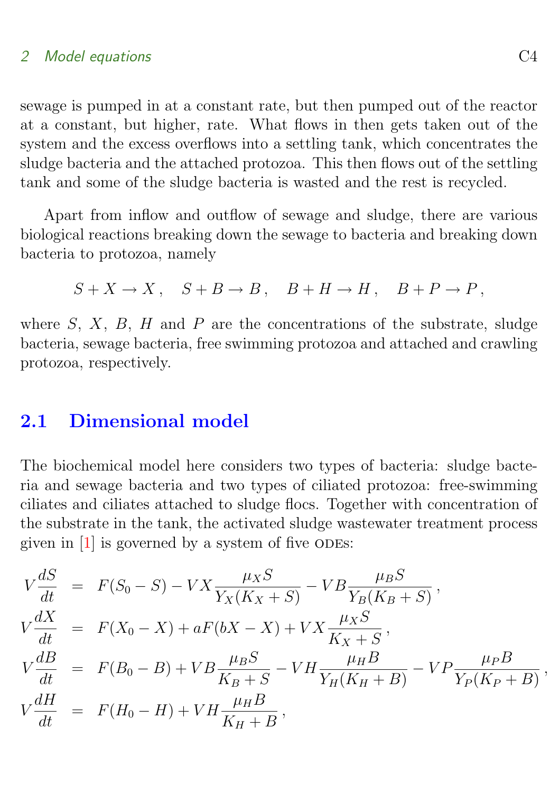### <span id="page-3-1"></span>2 Model equations C4

sewage is pumped in at a constant rate, but then pumped out of the reactor at a constant, but higher, rate. What flows in then gets taken out of the system and the excess overflows into a settling tank, which concentrates the sludge bacteria and the attached protozoa. This then flows out of the settling tank and some of the sludge bacteria is wasted and the rest is recycled.

Apart from inflow and outflow of sewage and sludge, there are various biological reactions breaking down the sewage to bacteria and breaking down bacteria to protozoa, namely

$$
S + X \to X, \quad S + B \to B, \quad B + H \to H, \quad B + P \to P,
$$

where  $S, X, B, H$  and  $P$  are the concentrations of the substrate, sludge bacteria, sewage bacteria, free swimming protozoa and attached and crawling protozoa, respectively.

## <span id="page-3-0"></span>2.1 Dimensional model

The biochemical model here considers two types of bacteria: sludge bacteria and sewage bacteria and two types of ciliated protozoa: free-swimming ciliates and ciliates attached to sludge flocs. Together with concentration of the substrate in the tank, the activated sludge wastewater treatment process given in  $[1]$  is governed by a system of five ODEs:

$$
V\frac{dS}{dt} = F(S_0 - S) - VX\frac{\mu_X S}{Y_X(K_X + S)} - VB\frac{\mu_B S}{Y_B(K_B + S)},
$$
  
\n
$$
V\frac{dX}{dt} = F(X_0 - X) + aF(bX - X) + VX\frac{\mu_X S}{K_X + S},
$$
  
\n
$$
V\frac{dB}{dt} = F(B_0 - B) + VB\frac{\mu_B S}{K_B + S} - VH\frac{\mu_H B}{Y_H(K_H + B)} - VP\frac{\mu_P B}{Y_P(K_P + B)},
$$
  
\n
$$
V\frac{dH}{dt} = F(H_0 - H) + VH\frac{\mu_H B}{K_H + B},
$$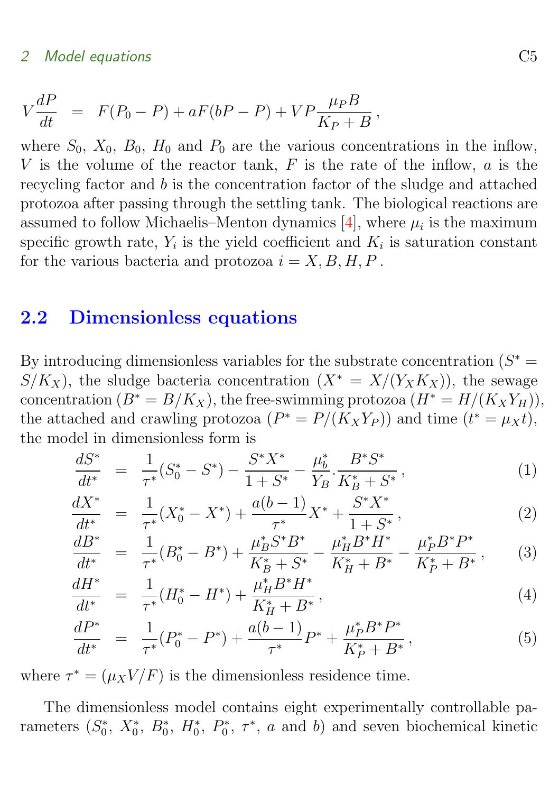#### <span id="page-4-2"></span>2 Model equations C<sub>5</sub>

$$
V\frac{dP}{dt} = F(P_0 - P) + aF(bP - P) + VP\frac{\mu_P B}{K_P + B},
$$

where  $S_0$ ,  $X_0$ ,  $B_0$ ,  $H_0$  and  $P_0$  are the various concentrations in the inflow, V is the volume of the reactor tank,  $F$  is the rate of the inflow,  $a$  is the recycling factor and b is the concentration factor of the sludge and attached protozoa after passing through the settling tank. The biological reactions are assumed to follow Michaelis–Menton dynamics  $[4]$ , where  $\mu_i$  is the maximum specific growth rate,  $Y_i$  is the yield coefficient and  $K_i$  is saturation constant for the various bacteria and protozoa  $i = X, B, H, P$ .

### <span id="page-4-0"></span>2.2 Dimensionless equations

By introducing dimensionless variables for the substrate concentration  $(S^* =$  $S/K_X$ , the sludge bacteria concentration  $(X^* = X/(Y_X K_X))$ , the sewage concentration  $(B^* = B/K_X)$ , the free-swimming protozoa  $(H^* = H/(K_X Y_H))$ , the attached and crawling protozoa  $(P^* = P/(K_X Y_P))$  and time  $(t^* = \mu_X t)$ , the model in dimensionless form is

$$
\frac{dS^*}{dt^*} = \frac{1}{\tau^*} (S_0^* - S^*) - \frac{S^* X^*}{1 + S^*} - \frac{\mu_b^*}{Y_B} \cdot \frac{B^* S^*}{K_B^* + S^*},\tag{1}
$$

<span id="page-4-1"></span>
$$
\frac{dX^*}{dt^*} = \frac{1}{\tau^*} (X_0^* - X^*) + \frac{a(b-1)}{\tau^*} X^* + \frac{S^* X^*}{1 + S^*},\tag{2}
$$

$$
\frac{dB^*}{dt^*} = \frac{1}{\tau^*} (B_0^* - B^*) + \frac{\mu_B^* S^* B^*}{K_B^* + S^*} - \frac{\mu_H^* B^* H^*}{K_H^* + B^*} - \frac{\mu_P^* B^* P^*}{K_P^* + B^*},\tag{3}
$$

$$
\frac{dH^*}{dt^*} = \frac{1}{\tau^*} (H_0^* - H^*) + \frac{\mu_H^* B^* H^*}{K_H^* + B^*},\tag{4}
$$

$$
\frac{dP^*}{dt^*} = \frac{1}{\tau^*} (P_0^* - P^*) + \frac{a(b-1)}{\tau^*} P^* + \frac{\mu_P^* B^* P^*}{K_P^* + B^*},\tag{5}
$$

where  $\tau^* = (\mu_X V/F)$  is the dimensionless residence time.

The dimensionless model contains eight experimentally controllable parameters  $(S_0^*, X_0^*, B_0^*, H_0^*, P_0^*, \tau^*, a$  and b) and seven biochemical kinetic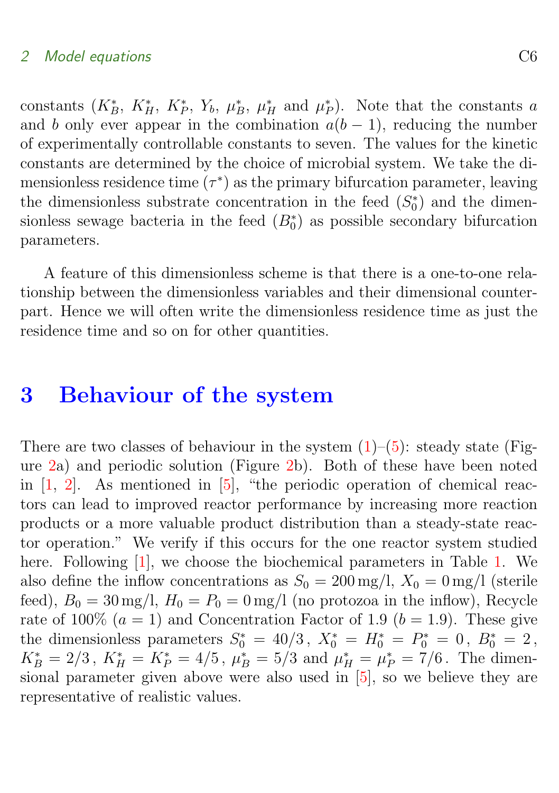#### <span id="page-5-2"></span>2 Model equations C6

constants  $(K_B^*, K_H^*, K_P^*, Y_b, \mu_B^*, \mu_H^*$  and  $\mu_P^*$ ). Note that the constants a and b only ever appear in the combination  $a(b-1)$ , reducing the number of experimentally controllable constants to seven. The values for the kinetic constants are determined by the choice of microbial system. We take the dimensionless residence time  $(\tau^*)$  as the primary bifurcation parameter, leaving the dimensionless substrate concentration in the feed  $(S_0^*)$  and the dimensionless sewage bacteria in the feed  $(B_0^*)$  as possible secondary bifurcation parameters.

A feature of this dimensionless scheme is that there is a one-to-one relationship between the dimensionless variables and their dimensional counterpart. Hence we will often write the dimensionless residence time as just the residence time and so on for other quantities.

# <span id="page-5-0"></span>3 Behaviour of the system

<span id="page-5-1"></span>There are two classes of behaviour in the system  $(1)$ – $(5)$ : steady state (Figure [2a](#page-6-0)) and periodic solution (Figure [2b](#page-6-0)). Both of these have been noted in  $[1, 2]$  $[1, 2]$  $[1, 2]$ . As mentioned in  $[5]$ , "the periodic operation of chemical reactors can lead to improved reactor performance by increasing more reaction products or a more valuable product distribution than a steady-state reactor operation." We verify if this occurs for the one reactor system studied here. Following [\[1\]](#page-16-1), we choose the biochemical parameters in Table [1.](#page-6-1) We also define the inflow concentrations as  $S_0 = 200$  mg/l,  $X_0 = 0$  mg/l (sterile feed),  $B_0 = 30 \text{ mg/l}$ ,  $H_0 = P_0 = 0 \text{ mg/l}$  (no protozoa in the inflow), Recycle rate of 100\%  $(a = 1)$  and Concentration Factor of 1.9  $(b = 1.9)$ . These give the dimensionless parameters  $S_0^* = 40/3$ ,  $X_0^* = H_0^* = P_0^* = 0$ ,  $B_0^* = 2$ ,  $K_B^* = 2/3$ ,  $K_H^* = K_P^* = 4/5$ ,  $\mu_B^* = 5/3$  and  $\mu_H^* = \mu_P^* = 7/6$ . The dimensional parameter given above were also used in [\[5\]](#page-16-5), so we believe they are representative of realistic values.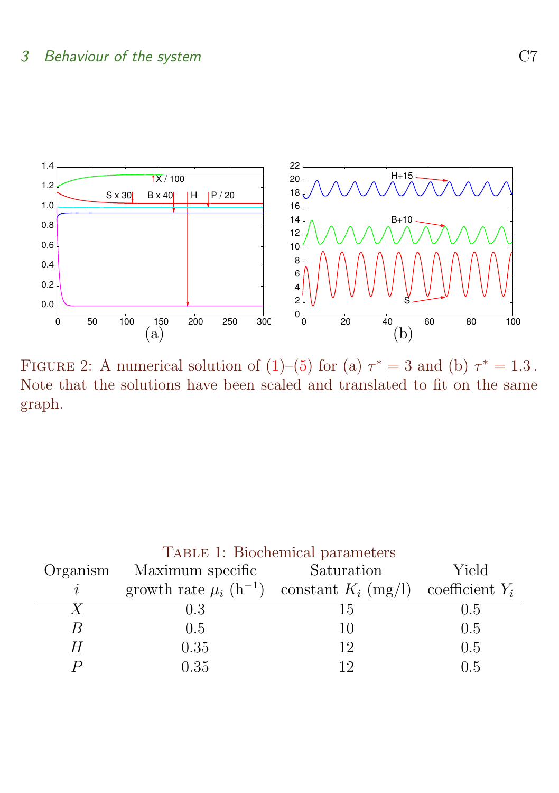

<span id="page-6-0"></span>FIGURE 2: A numerical solution of [\(1\)](#page-4-1)–[\(5\)](#page-4-1) for (a)  $\tau^* = 3$  and (b)  $\tau^* = 1.3$ . Note that the solutions have been scaled and translated to fit on the same graph.

<span id="page-6-1"></span>

| TABLE 1: Biochemical parameters |                                                                                |            |       |  |  |  |  |  |  |
|---------------------------------|--------------------------------------------------------------------------------|------------|-------|--|--|--|--|--|--|
| Organism                        | Maximum specific                                                               | Saturation | Yield |  |  |  |  |  |  |
| i                               | growth rate $\mu_i$ (h <sup>-1</sup> ) constant $K_i$ (mg/l) coefficient $Y_i$ |            |       |  |  |  |  |  |  |
| $\boldsymbol{X}$                | 0.3                                                                            | 15         | 0.5   |  |  |  |  |  |  |
| B                               | 0.5                                                                            | 10         | 0.5   |  |  |  |  |  |  |
| Н                               | 0.35                                                                           | 12         | 0.5   |  |  |  |  |  |  |
|                                 | 0.35                                                                           |            | O 5   |  |  |  |  |  |  |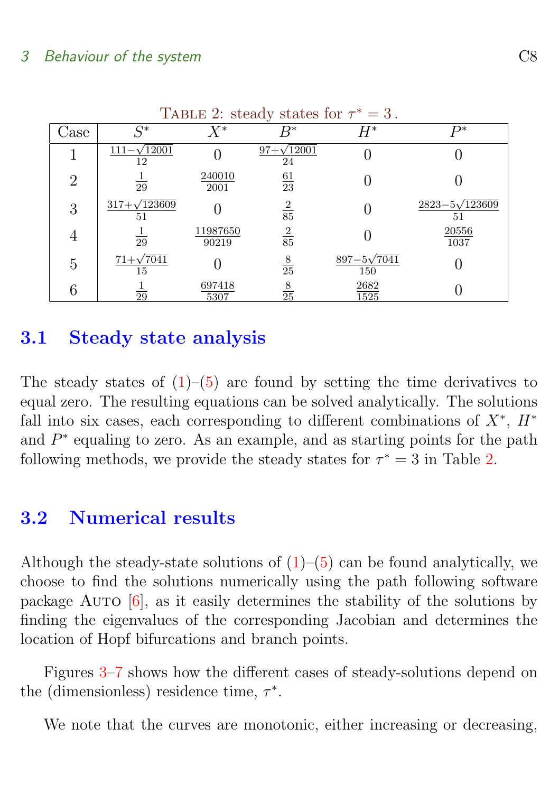<span id="page-7-2"></span>

| <b>TADLE 2.</b> Steady states for $t = 0$ . |                             |                   |                         |                             |                               |  |  |  |
|---------------------------------------------|-----------------------------|-------------------|-------------------------|-----------------------------|-------------------------------|--|--|--|
| Jase                                        | $C^*$                       | $X^{\ast}$        | R*                      | $H^\ast$                    | $D^*$                         |  |  |  |
|                                             | $111 - \sqrt{12001}$<br>12  |                   | $97+\sqrt{12001}$<br>24 |                             |                               |  |  |  |
| $\overline{2}$                              | 29                          | 240010<br>2001    | $\frac{61}{23}$         |                             |                               |  |  |  |
| 3                                           | $317 + \sqrt{123609}$<br>51 |                   | $\frac{2}{85}$          |                             | $2823 - 5\sqrt{123609}$<br>51 |  |  |  |
| 4                                           | 29                          | 11987650<br>90219 | $\frac{2}{85}$          |                             | 20556<br>1037                 |  |  |  |
| 5                                           | $71+\sqrt{7041}$<br>15      |                   | $\frac{8}{25}$          | $897 - 5\sqrt{7041}$<br>150 |                               |  |  |  |
| 6                                           | 29                          | 697418<br>5307    | $\frac{8}{25}$          | 2682<br>1525                |                               |  |  |  |

<span id="page-7-1"></span>TABLE 2: steady states for  $\tau^* = 3$ .

## 3.1 Steady state analysis

The steady states of  $(1)$ – $(5)$  are found by setting the time derivatives to equal zero. The resulting equations can be solved analytically. The solutions fall into six cases, each corresponding to different combinations of  $X^*$ ,  $H^*$ and  $P^*$  equaling to zero. As an example, and as starting points for the path following methods, we provide the steady states for  $\tau^* = 3$  in Table [2.](#page-7-1)

## <span id="page-7-0"></span>3.2 Numerical results

Although the steady-state solutions of  $(1)$ – $(5)$  can be found analytically, we choose to find the solutions numerically using the path following software package Auto [\[6\]](#page-17-0), as it easily determines the stability of the solutions by finding the eigenvalues of the corresponding Jacobian and determines the location of Hopf bifurcations and branch points.

Figures [3](#page-8-0)[–7](#page-10-0) shows how the different cases of steady-solutions depend on the (dimensionless) residence time,  $\tau^*$ .

We note that the curves are monotonic, either increasing or decreasing,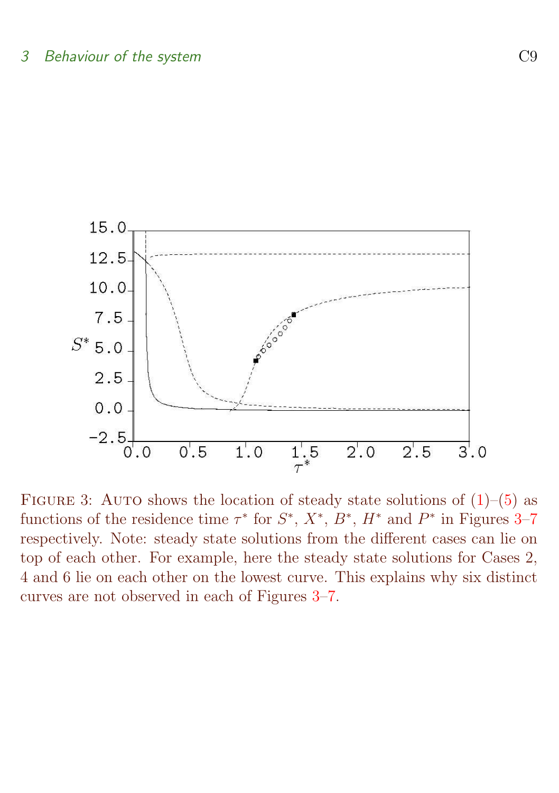

<span id="page-8-0"></span>FIGURE 3: AUTO shows the location of steady state solutions of  $(1)$ – $(5)$  as functions of the residence time  $\tau^*$  for  $S^*, X^*, B^*, H^*$  and  $P^*$  in Figures [3–](#page-8-0)[7](#page-10-0) respectively. Note: steady state solutions from the different cases can lie on top of each other. For example, here the steady state solutions for Cases 2, 4 and 6 lie on each other on the lowest curve. This explains why six distinct curves are not observed in each of Figures [3](#page-8-0)[–7.](#page-10-0)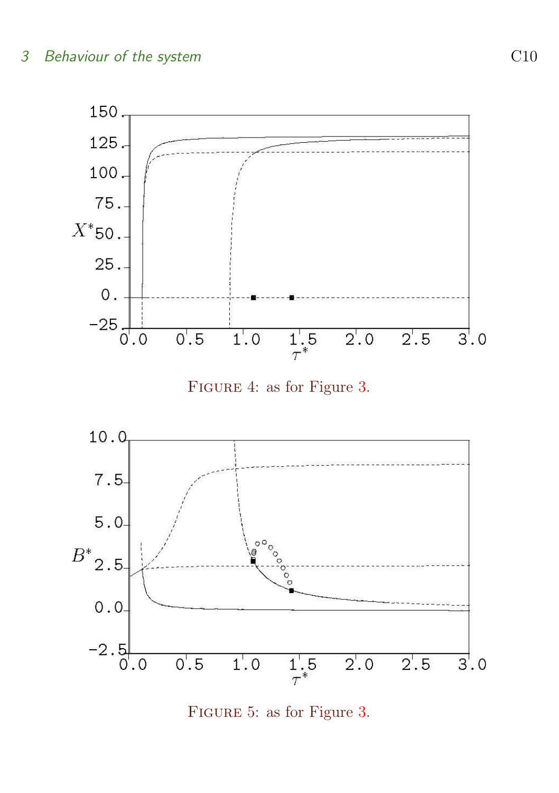





Figure 5: as for Figure [3.](#page-8-0)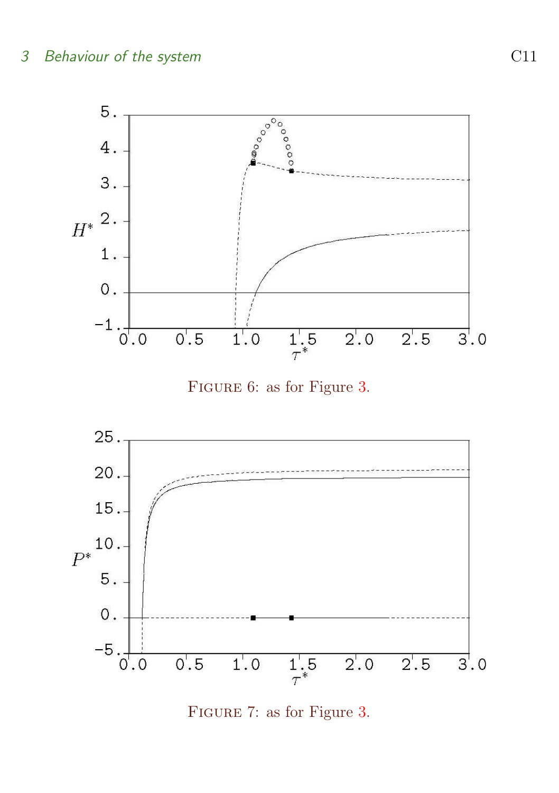





<span id="page-10-0"></span>Figure 7: as for Figure [3.](#page-8-0)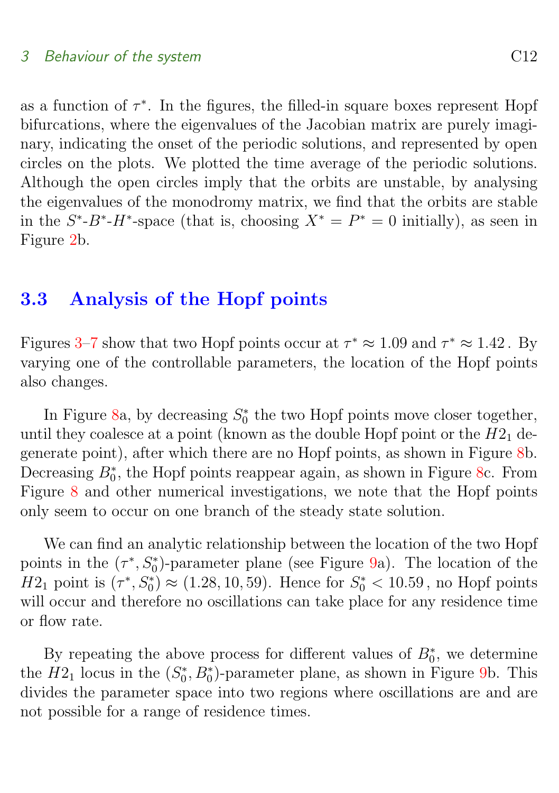#### 3 Behaviour of the system Services and Contact Services and C12

as a function of  $\tau^*$ . In the figures, the filled-in square boxes represent Hopf bifurcations, where the eigenvalues of the Jacobian matrix are purely imaginary, indicating the onset of the periodic solutions, and represented by open circles on the plots. We plotted the time average of the periodic solutions. Although the open circles imply that the orbits are unstable, by analysing the eigenvalues of the monodromy matrix, we find that the orbits are stable in the  $S^*$ - $B^*$ - $H^*$ -space (that is, choosing  $X^* = P^* = 0$  initially), as seen in Figure [2b](#page-6-0).

## <span id="page-11-0"></span>3.3 Analysis of the Hopf points

Figures [3–](#page-8-0)[7](#page-10-0) show that two Hopf points occur at  $\tau^* \approx 1.09$  and  $\tau^* \approx 1.42$ . By varying one of the controllable parameters, the location of the Hopf points also changes.

In Figure [8a](#page-12-0), by decreasing  $S_0^*$  the two Hopf points move closer together, until they coalesce at a point (known as the double Hopf point or the  $H2_1$  degenerate point), after which there are no Hopf points, as shown in Figure [8b](#page-12-0). Decreasing  $B_0^*$ , the Hopf points reappear again, as shown in Figure [8c](#page-12-0). From Figure [8](#page-12-0) and other numerical investigations, we note that the Hopf points only seem to occur on one branch of the steady state solution.

We can find an analytic relationship between the location of the two Hopf points in the  $(\tau^*, S_0^*)$ -parameter plane (see Figure [9a](#page-13-1)). The location of the  $H2_1$  point is  $(\tau^*, S_0^*) \approx (1.28, 10, 59)$ . Hence for  $S_0^* < 10.59$ , no Hopf points will occur and therefore no oscillations can take place for any residence time or flow rate.

By repeating the above process for different values of  $B_0^*$ , we determine the  $H2_1$  locus in the  $(S_0^*, B_0^*)$ -parameter plane, as shown in Figure [9b](#page-13-1). This divides the parameter space into two regions where oscillations are and are not possible for a range of residence times.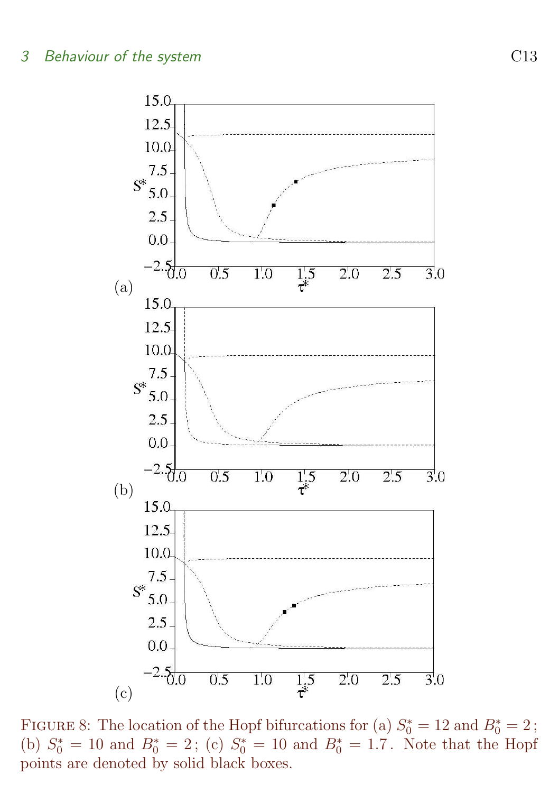

<span id="page-12-0"></span>FIGURE 8: The location of the Hopf bifurcations for (a)  $S_0^* = 12$  and  $B_0^* = 2$ ; (b)  $S_0^* = 10$  and  $B_0^* = 2$ ; (c)  $S_0^* = 10$  and  $B_0^* = 1.7$ . Note that the Hopf points are denoted by solid black boxes.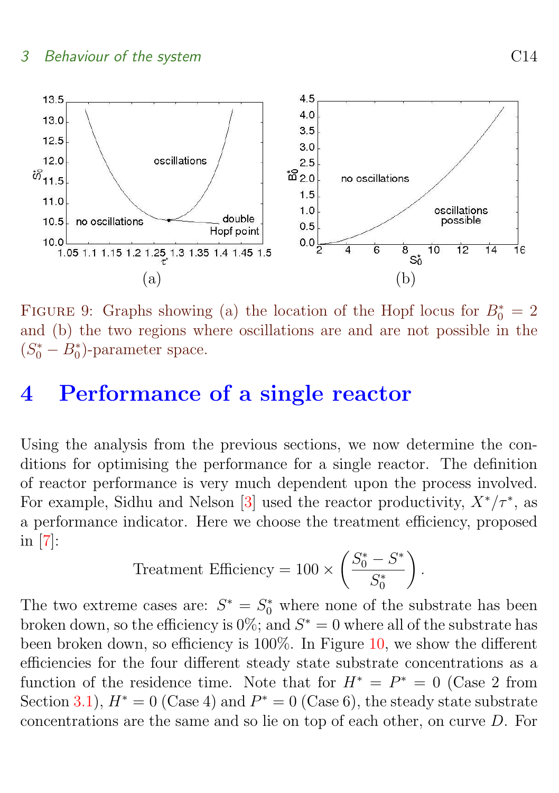### <span id="page-13-2"></span>3 Behaviour of the system Services of the system Services of the system Services of the Services of the Services of the Services of the Services of the Services of the Services of the Services of the Services of the Servic



<span id="page-13-1"></span>FIGURE 9: Graphs showing (a) the location of the Hopf locus for  $B_0^* = 2$ and (b) the two regions where oscillations are and are not possible in the  $(S_0^* - B_0^*)$ -parameter space.

# <span id="page-13-0"></span>4 Performance of a single reactor

Using the analysis from the previous sections, we now determine the conditions for optimising the performance for a single reactor. The definition of reactor performance is very much dependent upon the process involved. For example, Sidhu and Nelson [\[3\]](#page-16-3) used the reactor productivity,  $X^*/\tau^*$ , as a performance indicator. Here we choose the treatment efficiency, proposed in [\[7\]](#page-17-1):

$$
Treatment Efficiency = 100 \times \left(\frac{S_0^* - S^*}{S_0^*}\right).
$$

The two extreme cases are:  $S^* = S_0^*$  where none of the substrate has been broken down, so the efficiency is  $0\%$ ; and  $S^* = 0$  where all of the substrate has been broken down, so efficiency is 100%. In Figure [10,](#page-14-0) we show the different efficiencies for the four different steady state substrate concentrations as a function of the residence time. Note that for  $H^* = P^* = 0$  (Case 2 from Section [3.1\)](#page-5-1),  $H^* = 0$  (Case 4) and  $P^* = 0$  (Case 6), the steady state substrate concentrations are the same and so lie on top of each other, on curve D. For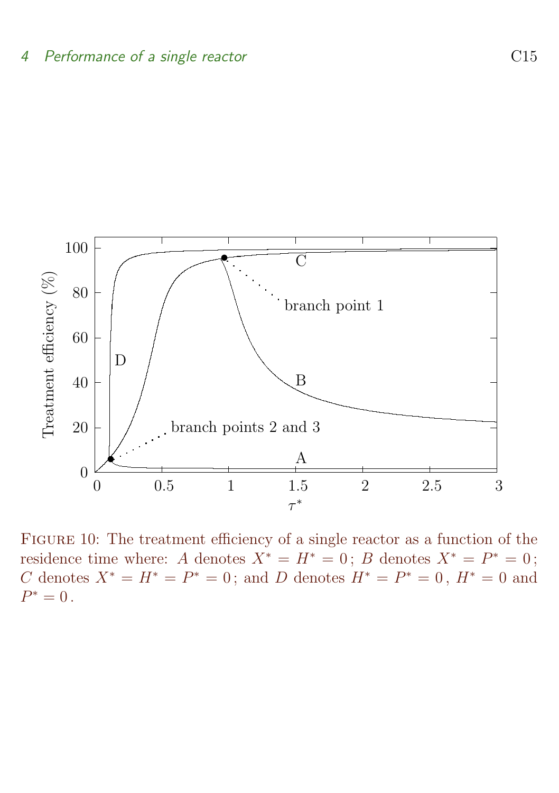

<span id="page-14-0"></span>FIGURE 10: The treatment efficiency of a single reactor as a function of the residence time where: A denotes  $X^* = H^* = 0$ ; B denotes  $X^* = P^* = 0$ ; C denotes  $X^* = H^* = P^* = 0$ ; and D denotes  $H^* = P^* = 0$ ,  $H^* = 0$  and  $P^* = 0$ .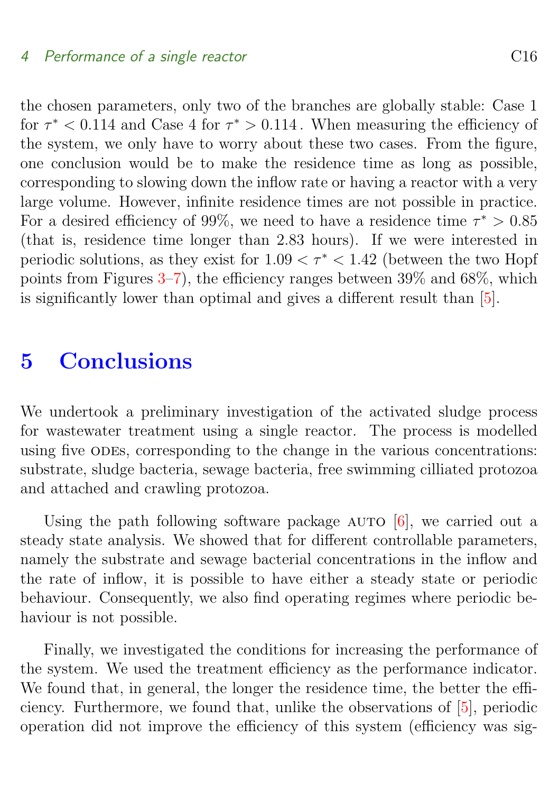#### <span id="page-15-1"></span>4 Performance of a single reactor C16

the chosen parameters, only two of the branches are globally stable: Case 1 for  $\tau^*$  < 0.114 and Case 4 for  $\tau^*$  > 0.114. When measuring the efficiency of the system, we only have to worry about these two cases. From the figure, one conclusion would be to make the residence time as long as possible, corresponding to slowing down the inflow rate or having a reactor with a very large volume. However, infinite residence times are not possible in practice. For a desired efficiency of 99%, we need to have a residence time  $\tau^* > 0.85$ (that is, residence time longer than 2.83 hours). If we were interested in periodic solutions, as they exist for  $1.09 < \tau^* < 1.42$  (between the two Hopf points from Figures  $3-7$  $3-7$ , the efficiency ranges between  $39\%$  and  $68\%$ , which is significantly lower than optimal and gives a different result than [\[5\]](#page-16-5).

# <span id="page-15-0"></span>5 Conclusions

We undertook a preliminary investigation of the activated sludge process for wastewater treatment using a single reactor. The process is modelled using five odes, corresponding to the change in the various concentrations: substrate, sludge bacteria, sewage bacteria, free swimming cilliated protozoa and attached and crawling protozoa.

Using the path following software package  $AUTO$  [\[6\]](#page-17-0), we carried out a steady state analysis. We showed that for different controllable parameters, namely the substrate and sewage bacterial concentrations in the inflow and the rate of inflow, it is possible to have either a steady state or periodic behaviour. Consequently, we also find operating regimes where periodic behaviour is not possible.

Finally, we investigated the conditions for increasing the performance of the system. We used the treatment efficiency as the performance indicator. We found that, in general, the longer the residence time, the better the efficiency. Furthermore, we found that, unlike the observations of [\[5\]](#page-16-5), periodic operation did not improve the efficiency of this system (efficiency was sig-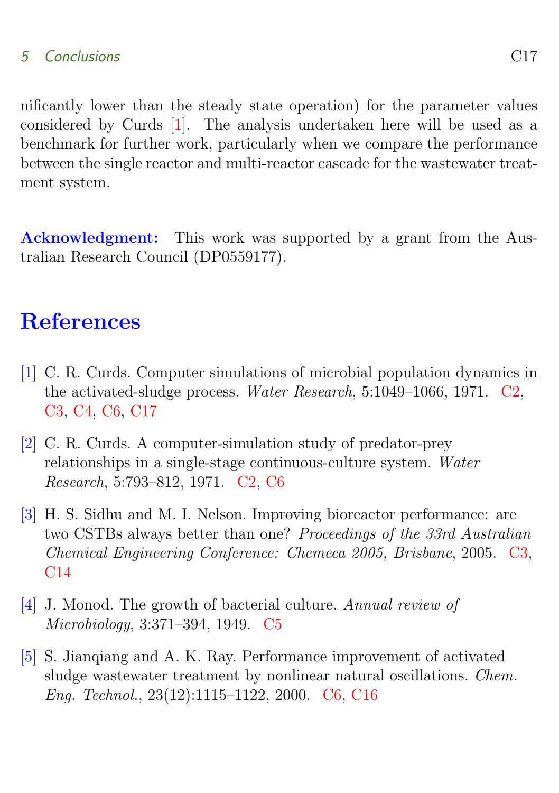## <span id="page-16-6"></span>5 Conclusions C17

nificantly lower than the steady state operation) for the parameter values considered by Curds [\[1\]](#page-16-1). The analysis undertaken here will be used as a benchmark for further work, particularly when we compare the performance between the single reactor and multi-reactor cascade for the wastewater treatment system.

Acknowledgment: This work was supported by a grant from the Australian Research Council (DP0559177).

# References

- <span id="page-16-1"></span><span id="page-16-0"></span>[1] C. R. Curds. Computer simulations of microbial population dynamics in the activated-sludge process. Water Research, 5:1049–1066, 1971. [C2,](#page-1-1) [C3,](#page-2-1) [C4,](#page-3-1) [C6,](#page-5-2) [C17](#page-16-6)
- <span id="page-16-2"></span>[2] C. R. Curds. A computer-simulation study of predator-prey relationships in a single-stage continuous-culture system. Water Research, 5:793–812, 1971. [C2,](#page-1-1) [C6](#page-5-2)
- <span id="page-16-3"></span>[3] H. S. Sidhu and M. I. Nelson. Improving bioreactor performance: are two CSTBs always better than one? Proceedings of the 33rd Australian Chemical Engineering Conference: Chemeca 2005, Brisbane, 2005. [C3,](#page-2-1) [C14](#page-13-2)
- <span id="page-16-4"></span>[4] J. Monod. The growth of bacterial culture. Annual review of Microbiology, 3:371–394, 1949. [C5](#page-4-2)
- <span id="page-16-5"></span>[5] S. Jianqiang and A. K. Ray. Performance improvement of activated sludge wastewater treatment by nonlinear natural oscillations. Chem. Eng. Technol., 23(12):1115–1122, 2000. [C6,](#page-5-2) [C16](#page-15-1)